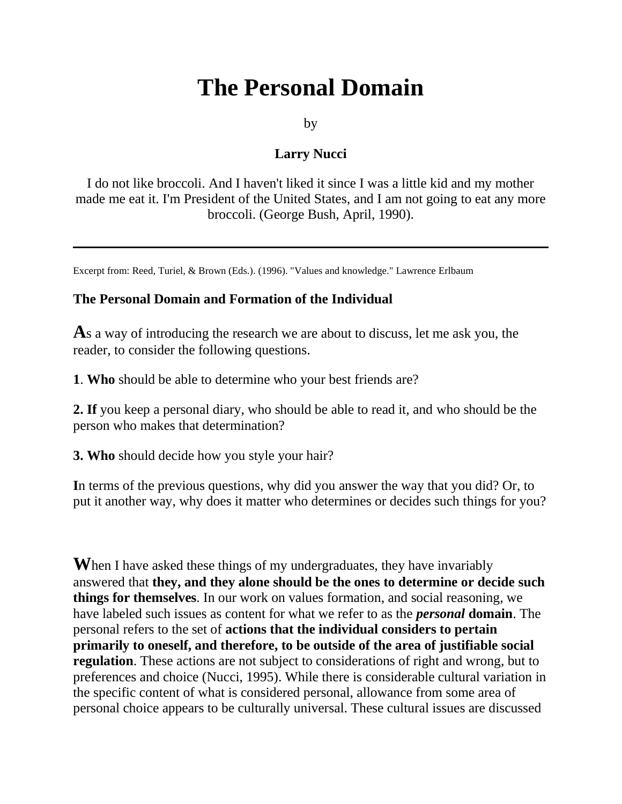# **The Personal Domain**

by

### **Larry Nucci**

I do not like broccoli. And I haven't liked it since I was a little kid and my mother made me eat it. I'm President of the United States, and I am not going to eat any more broccoli. (George Bush, April, 1990).

Excerpt from: Reed, Turiel, & Brown (Eds.). (1996). "Values and knowledge." Lawrence Erlbaum

#### **The Personal Domain and Formation of the Individual**

**A**s a way of introducing the research we are about to discuss, let me ask you, the reader, to consider the following questions.

**1**. **Who** should be able to determine who your best friends are?

**2. If** you keep a personal diary, who should be able to read it, and who should be the person who makes that determination?

**3. Who** should decide how you style your hair?

**I**n terms of the previous questions, why did you answer the way that you did? Or, to put it another way, why does it matter who determines or decides such things for you?

**W**hen I have asked these things of my undergraduates, they have invariably answered that **they, and they alone should be the ones to determine or decide such things for themselves**. In our work on values formation, and social reasoning, we have labeled such issues as content for what we refer to as the *personal* **domain**. The personal refers to the set of **actions that the individual considers to pertain primarily to oneself, and therefore, to be outside of the area of justifiable social regulation**. These actions are not subject to considerations of right and wrong, but to preferences and choice (Nucci, 1995). While there is considerable cultural variation in the specific content of what is considered personal, allowance from some area of personal choice appears to be culturally universal. These cultural issues are discussed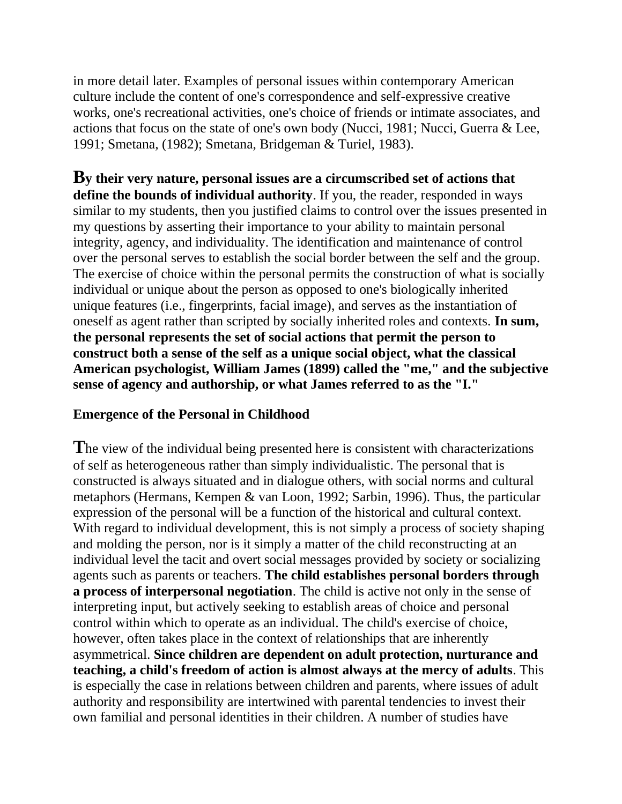in more detail later. Examples of personal issues within contemporary American culture include the content of one's correspondence and self-expressive creative works, one's recreational activities, one's choice of friends or intimate associates, and actions that focus on the state of one's own body (Nucci, 1981; Nucci, Guerra & Lee, 1991; Smetana, (1982); Smetana, Bridgeman & Turiel, 1983).

**By their very nature, personal issues are a circumscribed set of actions that define the bounds of individual authority**. If you, the reader, responded in ways similar to my students, then you justified claims to control over the issues presented in my questions by asserting their importance to your ability to maintain personal integrity, agency, and individuality. The identification and maintenance of control over the personal serves to establish the social border between the self and the group. The exercise of choice within the personal permits the construction of what is socially individual or unique about the person as opposed to one's biologically inherited unique features (i.e., fingerprints, facial image), and serves as the instantiation of oneself as agent rather than scripted by socially inherited roles and contexts. **In sum, the personal represents the set of social actions that permit the person to construct both a sense of the self as a unique social object, what the classical American psychologist, William James (1899) called the "me," and the subjective sense of agency and authorship, or what James referred to as the "I."**

# **Emergence of the Personal in Childhood**

**T**he view of the individual being presented here is consistent with characterizations of self as heterogeneous rather than simply individualistic. The personal that is constructed is always situated and in dialogue others, with social norms and cultural metaphors (Hermans, Kempen & van Loon, 1992; Sarbin, 1996). Thus, the particular expression of the personal will be a function of the historical and cultural context. With regard to individual development, this is not simply a process of society shaping and molding the person, nor is it simply a matter of the child reconstructing at an individual level the tacit and overt social messages provided by society or socializing agents such as parents or teachers. **The child establishes personal borders through a process of interpersonal negotiation**. The child is active not only in the sense of interpreting input, but actively seeking to establish areas of choice and personal control within which to operate as an individual. The child's exercise of choice, however, often takes place in the context of relationships that are inherently asymmetrical. **Since children are dependent on adult protection, nurturance and teaching, a child's freedom of action is almost always at the mercy of adults**. This is especially the case in relations between children and parents, where issues of adult authority and responsibility are intertwined with parental tendencies to invest their own familial and personal identities in their children. A number of studies have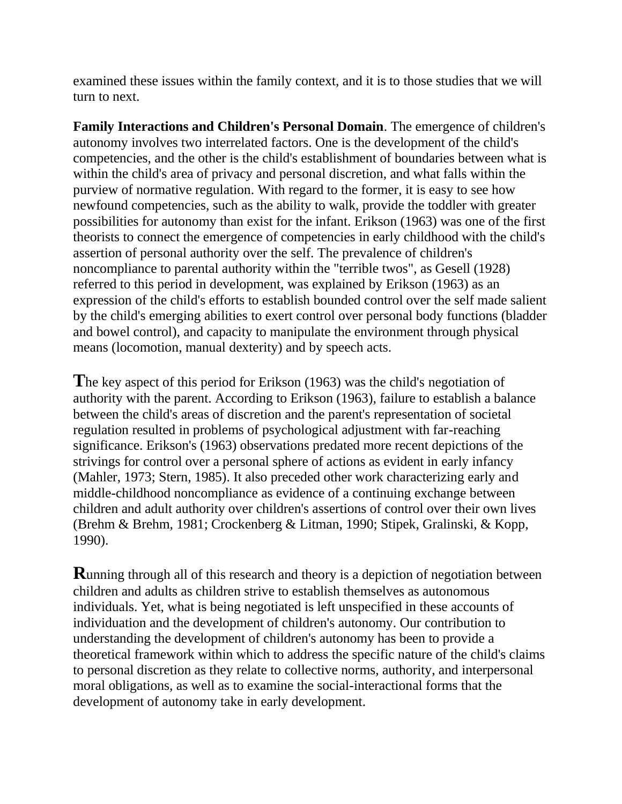examined these issues within the family context, and it is to those studies that we will turn to next.

**Family Interactions and Children's Personal Domain**. The emergence of children's autonomy involves two interrelated factors. One is the development of the child's competencies, and the other is the child's establishment of boundaries between what is within the child's area of privacy and personal discretion, and what falls within the purview of normative regulation. With regard to the former, it is easy to see how newfound competencies, such as the ability to walk, provide the toddler with greater possibilities for autonomy than exist for the infant. Erikson (1963) was one of the first theorists to connect the emergence of competencies in early childhood with the child's assertion of personal authority over the self. The prevalence of children's noncompliance to parental authority within the "terrible twos", as Gesell (1928) referred to this period in development, was explained by Erikson (1963) as an expression of the child's efforts to establish bounded control over the self made salient by the child's emerging abilities to exert control over personal body functions (bladder and bowel control), and capacity to manipulate the environment through physical means (locomotion, manual dexterity) and by speech acts.

**T**he key aspect of this period for Erikson (1963) was the child's negotiation of authority with the parent. According to Erikson (1963), failure to establish a balance between the child's areas of discretion and the parent's representation of societal regulation resulted in problems of psychological adjustment with far-reaching significance. Erikson's (1963) observations predated more recent depictions of the strivings for control over a personal sphere of actions as evident in early infancy (Mahler, 1973; Stern, 1985). It also preceded other work characterizing early and middle-childhood noncompliance as evidence of a continuing exchange between children and adult authority over children's assertions of control over their own lives (Brehm & Brehm, 1981; Crockenberg & Litman, 1990; Stipek, Gralinski, & Kopp, 1990).

**Running through all of this research and theory is a depiction of negotiation between** children and adults as children strive to establish themselves as autonomous individuals. Yet, what is being negotiated is left unspecified in these accounts of individuation and the development of children's autonomy. Our contribution to understanding the development of children's autonomy has been to provide a theoretical framework within which to address the specific nature of the child's claims to personal discretion as they relate to collective norms, authority, and interpersonal moral obligations, as well as to examine the social-interactional forms that the development of autonomy take in early development.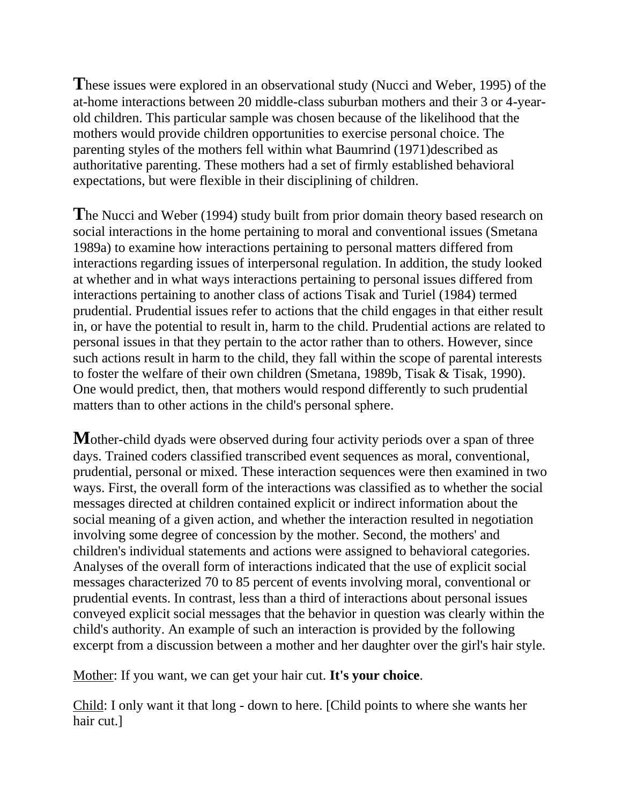**T**hese issues were explored in an observational study (Nucci and Weber, 1995) of the at-home interactions between 20 middle-class suburban mothers and their 3 or 4-yearold children. This particular sample was chosen because of the likelihood that the mothers would provide children opportunities to exercise personal choice. The parenting styles of the mothers fell within what Baumrind (1971)described as authoritative parenting. These mothers had a set of firmly established behavioral expectations, but were flexible in their disciplining of children.

**T**he Nucci and Weber (1994) study built from prior domain theory based research on social interactions in the home pertaining to moral and conventional issues (Smetana 1989a) to examine how interactions pertaining to personal matters differed from interactions regarding issues of interpersonal regulation. In addition, the study looked at whether and in what ways interactions pertaining to personal issues differed from interactions pertaining to another class of actions Tisak and Turiel (1984) termed prudential. Prudential issues refer to actions that the child engages in that either result in, or have the potential to result in, harm to the child. Prudential actions are related to personal issues in that they pertain to the actor rather than to others. However, since such actions result in harm to the child, they fall within the scope of parental interests to foster the welfare of their own children (Smetana, 1989b, Tisak & Tisak, 1990). One would predict, then, that mothers would respond differently to such prudential matters than to other actions in the child's personal sphere.

**M**other-child dyads were observed during four activity periods over a span of three days. Trained coders classified transcribed event sequences as moral, conventional, prudential, personal or mixed. These interaction sequences were then examined in two ways. First, the overall form of the interactions was classified as to whether the social messages directed at children contained explicit or indirect information about the social meaning of a given action, and whether the interaction resulted in negotiation involving some degree of concession by the mother. Second, the mothers' and children's individual statements and actions were assigned to behavioral categories. Analyses of the overall form of interactions indicated that the use of explicit social messages characterized 70 to 85 percent of events involving moral, conventional or prudential events. In contrast, less than a third of interactions about personal issues conveyed explicit social messages that the behavior in question was clearly within the child's authority. An example of such an interaction is provided by the following excerpt from a discussion between a mother and her daughter over the girl's hair style.

Mother: If you want, we can get your hair cut. **It's your choice**.

Child: I only want it that long - down to here. [Child points to where she wants her hair cut.]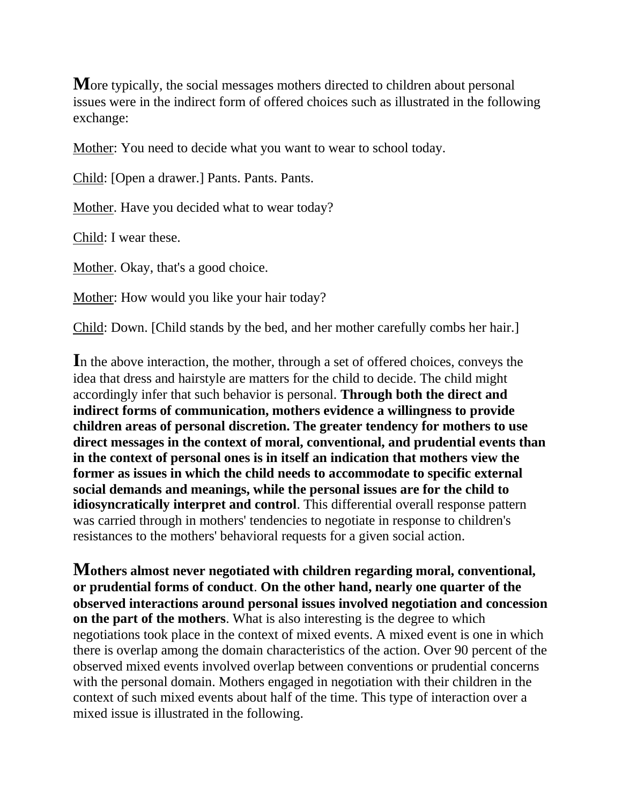**M**ore typically, the social messages mothers directed to children about personal issues were in the indirect form of offered choices such as illustrated in the following exchange:

Mother: You need to decide what you want to wear to school today.

Child: [Open a drawer.] Pants. Pants. Pants.

Mother. Have you decided what to wear today?

Child: I wear these.

Mother. Okay, that's a good choice.

Mother: How would you like your hair today?

Child: Down. [Child stands by the bed, and her mother carefully combs her hair.]

**I**n the above interaction, the mother, through a set of offered choices, conveys the idea that dress and hairstyle are matters for the child to decide. The child might accordingly infer that such behavior is personal. **Through both the direct and indirect forms of communication, mothers evidence a willingness to provide children areas of personal discretion. The greater tendency for mothers to use direct messages in the context of moral, conventional, and prudential events than in the context of personal ones is in itself an indication that mothers view the former as issues in which the child needs to accommodate to specific external social demands and meanings, while the personal issues are for the child to idiosyncratically interpret and control**. This differential overall response pattern was carried through in mothers' tendencies to negotiate in response to children's resistances to the mothers' behavioral requests for a given social action.

**Mothers almost never negotiated with children regarding moral, conventional, or prudential forms of conduct**. **On the other hand, nearly one quarter of the observed interactions around personal issues involved negotiation and concession on the part of the mothers**. What is also interesting is the degree to which negotiations took place in the context of mixed events. A mixed event is one in which there is overlap among the domain characteristics of the action. Over 90 percent of the observed mixed events involved overlap between conventions or prudential concerns with the personal domain. Mothers engaged in negotiation with their children in the context of such mixed events about half of the time. This type of interaction over a mixed issue is illustrated in the following.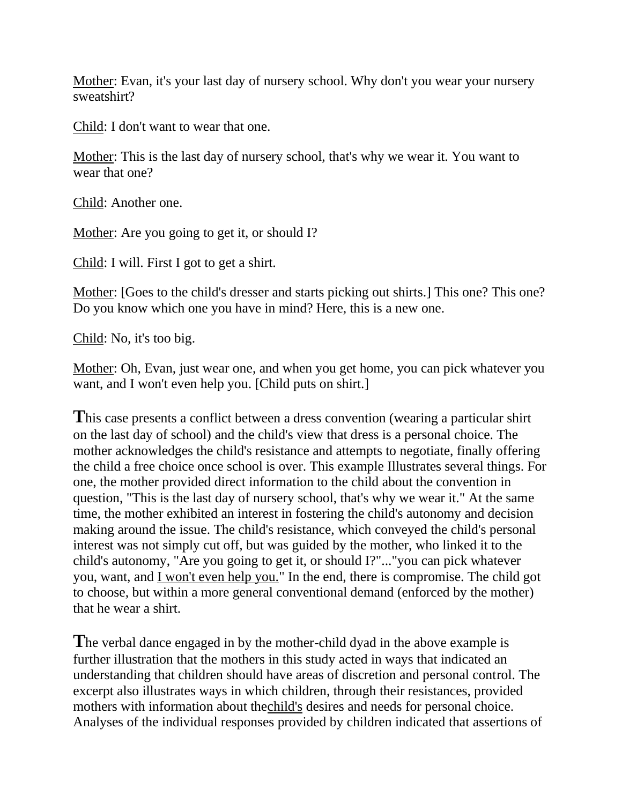Mother: Evan, it's your last day of nursery school. Why don't you wear your nursery sweatshirt?

Child: I don't want to wear that one.

Mother: This is the last day of nursery school, that's why we wear it. You want to wear that one?

Child: Another one.

Mother: Are you going to get it, or should I?

Child: I will. First I got to get a shirt.

Mother: [Goes to the child's dresser and starts picking out shirts.] This one? This one? Do you know which one you have in mind? Here, this is a new one.

Child: No, it's too big.

Mother: Oh, Evan, just wear one, and when you get home, you can pick whatever you want, and I won't even help you. [Child puts on shirt.]

**T**his case presents a conflict between a dress convention (wearing a particular shirt on the last day of school) and the child's view that dress is a personal choice. The mother acknowledges the child's resistance and attempts to negotiate, finally offering the child a free choice once school is over. This example Illustrates several things. For one, the mother provided direct information to the child about the convention in question, "This is the last day of nursery school, that's why we wear it." At the same time, the mother exhibited an interest in fostering the child's autonomy and decision making around the issue. The child's resistance, which conveyed the child's personal interest was not simply cut off, but was guided by the mother, who linked it to the child's autonomy, "Are you going to get it, or should I?"..."you can pick whatever you, want, and I won't even help you." In the end, there is compromise. The child got to choose, but within a more general conventional demand (enforced by the mother) that he wear a shirt.

**T**he verbal dance engaged in by the mother-child dyad in the above example is further illustration that the mothers in this study acted in ways that indicated an understanding that children should have areas of discretion and personal control. The excerpt also illustrates ways in which children, through their resistances, provided mothers with information about thechild's desires and needs for personal choice. Analyses of the individual responses provided by children indicated that assertions of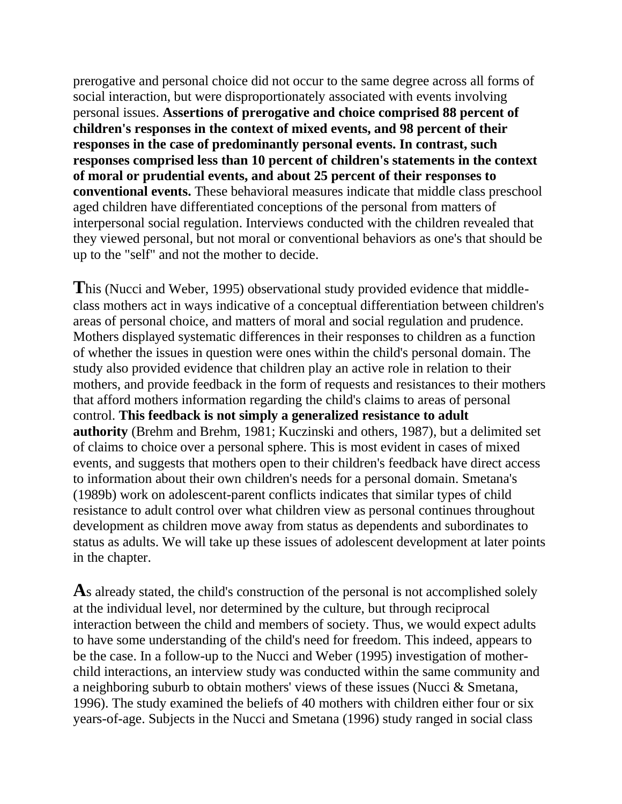prerogative and personal choice did not occur to the same degree across all forms of social interaction, but were disproportionately associated with events involving personal issues. **Assertions of prerogative and choice comprised 88 percent of children's responses in the context of mixed events, and 98 percent of their responses in the case of predominantly personal events. In contrast, such responses comprised less than 10 percent of children's statements in the context of moral or prudential events, and about 25 percent of their responses to conventional events.** These behavioral measures indicate that middle class preschool aged children have differentiated conceptions of the personal from matters of interpersonal social regulation. Interviews conducted with the children revealed that they viewed personal, but not moral or conventional behaviors as one's that should be up to the "self" and not the mother to decide.

**T**his (Nucci and Weber, 1995) observational study provided evidence that middleclass mothers act in ways indicative of a conceptual differentiation between children's areas of personal choice, and matters of moral and social regulation and prudence. Mothers displayed systematic differences in their responses to children as a function of whether the issues in question were ones within the child's personal domain. The study also provided evidence that children play an active role in relation to their mothers, and provide feedback in the form of requests and resistances to their mothers that afford mothers information regarding the child's claims to areas of personal control. **This feedback is not simply a generalized resistance to adult authority** (Brehm and Brehm, 1981; Kuczinski and others, 1987), but a delimited set of claims to choice over a personal sphere. This is most evident in cases of mixed events, and suggests that mothers open to their children's feedback have direct access to information about their own children's needs for a personal domain. Smetana's (1989b) work on adolescent-parent conflicts indicates that similar types of child resistance to adult control over what children view as personal continues throughout development as children move away from status as dependents and subordinates to status as adults. We will take up these issues of adolescent development at later points in the chapter.

**A**s already stated, the child's construction of the personal is not accomplished solely at the individual level, nor determined by the culture, but through reciprocal interaction between the child and members of society. Thus, we would expect adults to have some understanding of the child's need for freedom. This indeed, appears to be the case. In a follow-up to the Nucci and Weber (1995) investigation of motherchild interactions, an interview study was conducted within the same community and a neighboring suburb to obtain mothers' views of these issues (Nucci & Smetana, 1996). The study examined the beliefs of 40 mothers with children either four or six years-of-age. Subjects in the Nucci and Smetana (1996) study ranged in social class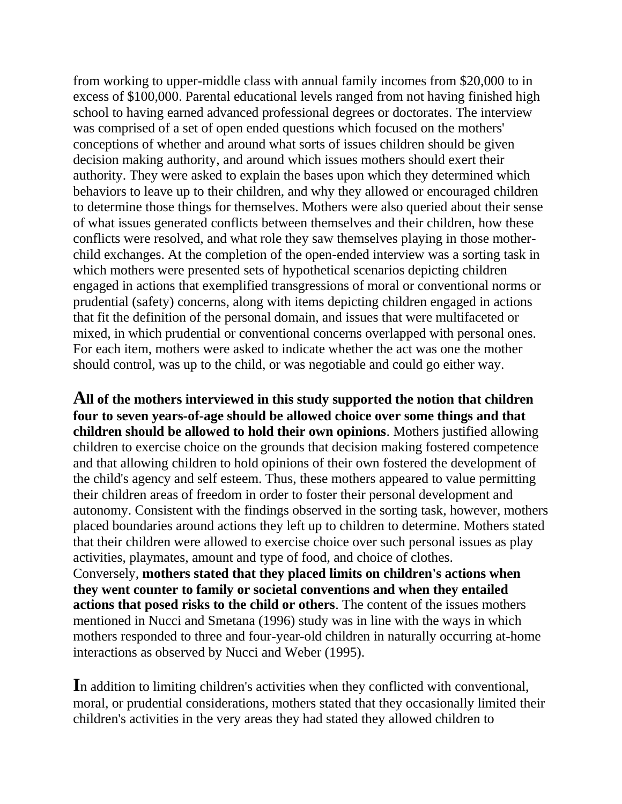from working to upper-middle class with annual family incomes from \$20,000 to in excess of \$100,000. Parental educational levels ranged from not having finished high school to having earned advanced professional degrees or doctorates. The interview was comprised of a set of open ended questions which focused on the mothers' conceptions of whether and around what sorts of issues children should be given decision making authority, and around which issues mothers should exert their authority. They were asked to explain the bases upon which they determined which behaviors to leave up to their children, and why they allowed or encouraged children to determine those things for themselves. Mothers were also queried about their sense of what issues generated conflicts between themselves and their children, how these conflicts were resolved, and what role they saw themselves playing in those motherchild exchanges. At the completion of the open-ended interview was a sorting task in which mothers were presented sets of hypothetical scenarios depicting children engaged in actions that exemplified transgressions of moral or conventional norms or prudential (safety) concerns, along with items depicting children engaged in actions that fit the definition of the personal domain, and issues that were multifaceted or mixed, in which prudential or conventional concerns overlapped with personal ones. For each item, mothers were asked to indicate whether the act was one the mother should control, was up to the child, or was negotiable and could go either way.

**All of the mothers interviewed in this study supported the notion that children four to seven years-of-age should be allowed choice over some things and that children should be allowed to hold their own opinions**. Mothers justified allowing children to exercise choice on the grounds that decision making fostered competence and that allowing children to hold opinions of their own fostered the development of the child's agency and self esteem. Thus, these mothers appeared to value permitting their children areas of freedom in order to foster their personal development and autonomy. Consistent with the findings observed in the sorting task, however, mothers placed boundaries around actions they left up to children to determine. Mothers stated that their children were allowed to exercise choice over such personal issues as play activities, playmates, amount and type of food, and choice of clothes. Conversely, **mothers stated that they placed limits on children's actions when they went counter to family or societal conventions and when they entailed actions that posed risks to the child or others**. The content of the issues mothers mentioned in Nucci and Smetana (1996) study was in line with the ways in which mothers responded to three and four-year-old children in naturally occurring at-home interactions as observed by Nucci and Weber (1995).

**I**n addition to limiting children's activities when they conflicted with conventional, moral, or prudential considerations, mothers stated that they occasionally limited their children's activities in the very areas they had stated they allowed children to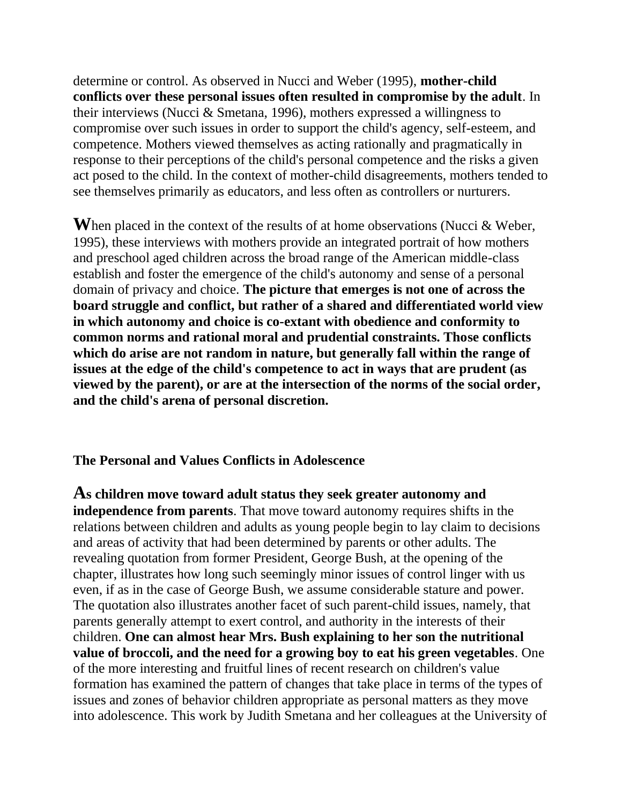determine or control. As observed in Nucci and Weber (1995), **mother-child conflicts over these personal issues often resulted in compromise by the adult**. In their interviews (Nucci & Smetana, 1996), mothers expressed a willingness to compromise over such issues in order to support the child's agency, self-esteem, and competence. Mothers viewed themselves as acting rationally and pragmatically in response to their perceptions of the child's personal competence and the risks a given act posed to the child. In the context of mother-child disagreements, mothers tended to see themselves primarily as educators, and less often as controllers or nurturers.

When placed in the context of the results of at home observations (Nucci & Weber, 1995), these interviews with mothers provide an integrated portrait of how mothers and preschool aged children across the broad range of the American middle-class establish and foster the emergence of the child's autonomy and sense of a personal domain of privacy and choice. **The picture that emerges is not one of across the board struggle and conflict, but rather of a shared and differentiated world view in which autonomy and choice is co-extant with obedience and conformity to common norms and rational moral and prudential constraints. Those conflicts which do arise are not random in nature, but generally fall within the range of issues at the edge of the child's competence to act in ways that are prudent (as viewed by the parent), or are at the intersection of the norms of the social order, and the child's arena of personal discretion.**

## **The Personal and Values Conflicts in Adolescence**

**As children move toward adult status they seek greater autonomy and independence from parents**. That move toward autonomy requires shifts in the relations between children and adults as young people begin to lay claim to decisions and areas of activity that had been determined by parents or other adults. The revealing quotation from former President, George Bush, at the opening of the chapter, illustrates how long such seemingly minor issues of control linger with us even, if as in the case of George Bush, we assume considerable stature and power. The quotation also illustrates another facet of such parent-child issues, namely, that parents generally attempt to exert control, and authority in the interests of their children. **One can almost hear Mrs. Bush explaining to her son the nutritional value of broccoli, and the need for a growing boy to eat his green vegetables**. One of the more interesting and fruitful lines of recent research on children's value formation has examined the pattern of changes that take place in terms of the types of issues and zones of behavior children appropriate as personal matters as they move into adolescence. This work by Judith Smetana and her colleagues at the University of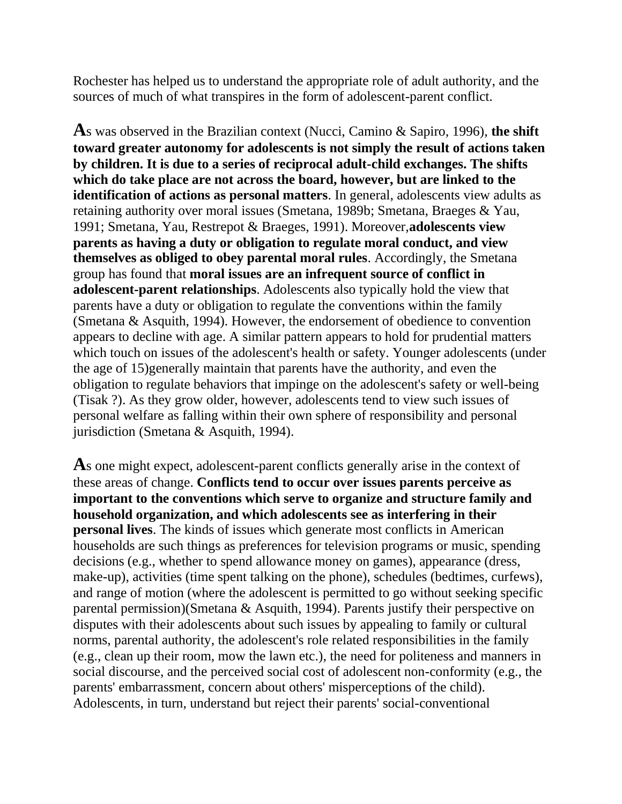Rochester has helped us to understand the appropriate role of adult authority, and the sources of much of what transpires in the form of adolescent-parent conflict.

**A**s was observed in the Brazilian context (Nucci, Camino & Sapiro, 1996), **the shift toward greater autonomy for adolescents is not simply the result of actions taken by children. It is due to a series of reciprocal adult-child exchanges. The shifts which do take place are not across the board, however, but are linked to the identification of actions as personal matters**. In general, adolescents view adults as retaining authority over moral issues (Smetana, 1989b; Smetana, Braeges & Yau, 1991; Smetana, Yau, Restrepot & Braeges, 1991). Moreover,**adolescents view parents as having a duty or obligation to regulate moral conduct, and view themselves as obliged to obey parental moral rules**. Accordingly, the Smetana group has found that **moral issues are an infrequent source of conflict in adolescent-parent relationships**. Adolescents also typically hold the view that parents have a duty or obligation to regulate the conventions within the family (Smetana & Asquith, 1994). However, the endorsement of obedience to convention appears to decline with age. A similar pattern appears to hold for prudential matters which touch on issues of the adolescent's health or safety. Younger adolescents (under the age of 15)generally maintain that parents have the authority, and even the obligation to regulate behaviors that impinge on the adolescent's safety or well-being (Tisak ?). As they grow older, however, adolescents tend to view such issues of personal welfare as falling within their own sphere of responsibility and personal jurisdiction (Smetana & Asquith, 1994).

**A**s one might expect, adolescent-parent conflicts generally arise in the context of these areas of change. **Conflicts tend to occur over issues parents perceive as important to the conventions which serve to organize and structure family and household organization, and which adolescents see as interfering in their personal lives**. The kinds of issues which generate most conflicts in American households are such things as preferences for television programs or music, spending decisions (e.g., whether to spend allowance money on games), appearance (dress, make-up), activities (time spent talking on the phone), schedules (bedtimes, curfews), and range of motion (where the adolescent is permitted to go without seeking specific parental permission)(Smetana & Asquith, 1994). Parents justify their perspective on disputes with their adolescents about such issues by appealing to family or cultural norms, parental authority, the adolescent's role related responsibilities in the family (e.g., clean up their room, mow the lawn etc.), the need for politeness and manners in social discourse, and the perceived social cost of adolescent non-conformity (e.g., the parents' embarrassment, concern about others' misperceptions of the child). Adolescents, in turn, understand but reject their parents' social-conventional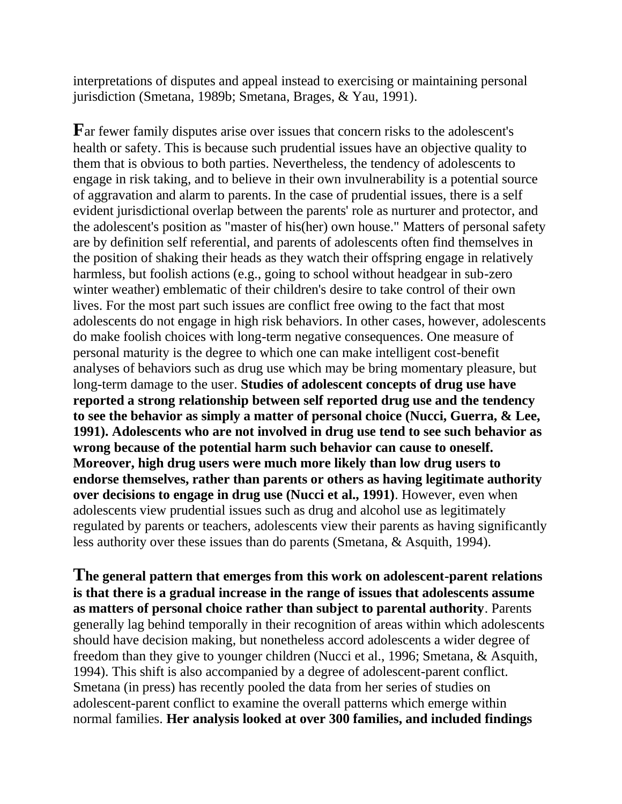interpretations of disputes and appeal instead to exercising or maintaining personal jurisdiction (Smetana, 1989b; Smetana, Brages, & Yau, 1991).

**F**ar fewer family disputes arise over issues that concern risks to the adolescent's health or safety. This is because such prudential issues have an objective quality to them that is obvious to both parties. Nevertheless, the tendency of adolescents to engage in risk taking, and to believe in their own invulnerability is a potential source of aggravation and alarm to parents. In the case of prudential issues, there is a self evident jurisdictional overlap between the parents' role as nurturer and protector, and the adolescent's position as "master of his(her) own house." Matters of personal safety are by definition self referential, and parents of adolescents often find themselves in the position of shaking their heads as they watch their offspring engage in relatively harmless, but foolish actions (e.g., going to school without headgear in sub-zero winter weather) emblematic of their children's desire to take control of their own lives. For the most part such issues are conflict free owing to the fact that most adolescents do not engage in high risk behaviors. In other cases, however, adolescents do make foolish choices with long-term negative consequences. One measure of personal maturity is the degree to which one can make intelligent cost-benefit analyses of behaviors such as drug use which may be bring momentary pleasure, but long-term damage to the user. **Studies of adolescent concepts of drug use have reported a strong relationship between self reported drug use and the tendency to see the behavior as simply a matter of personal choice (Nucci, Guerra, & Lee, 1991). Adolescents who are not involved in drug use tend to see such behavior as wrong because of the potential harm such behavior can cause to oneself. Moreover, high drug users were much more likely than low drug users to endorse themselves, rather than parents or others as having legitimate authority over decisions to engage in drug use (Nucci et al., 1991)**. However, even when adolescents view prudential issues such as drug and alcohol use as legitimately regulated by parents or teachers, adolescents view their parents as having significantly less authority over these issues than do parents (Smetana, & Asquith, 1994).

**The general pattern that emerges from this work on adolescent-parent relations is that there is a gradual increase in the range of issues that adolescents assume as matters of personal choice rather than subject to parental authority**. Parents generally lag behind temporally in their recognition of areas within which adolescents should have decision making, but nonetheless accord adolescents a wider degree of freedom than they give to younger children (Nucci et al., 1996; Smetana, & Asquith, 1994). This shift is also accompanied by a degree of adolescent-parent conflict. Smetana (in press) has recently pooled the data from her series of studies on adolescent-parent conflict to examine the overall patterns which emerge within normal families. **Her analysis looked at over 300 families, and included findings**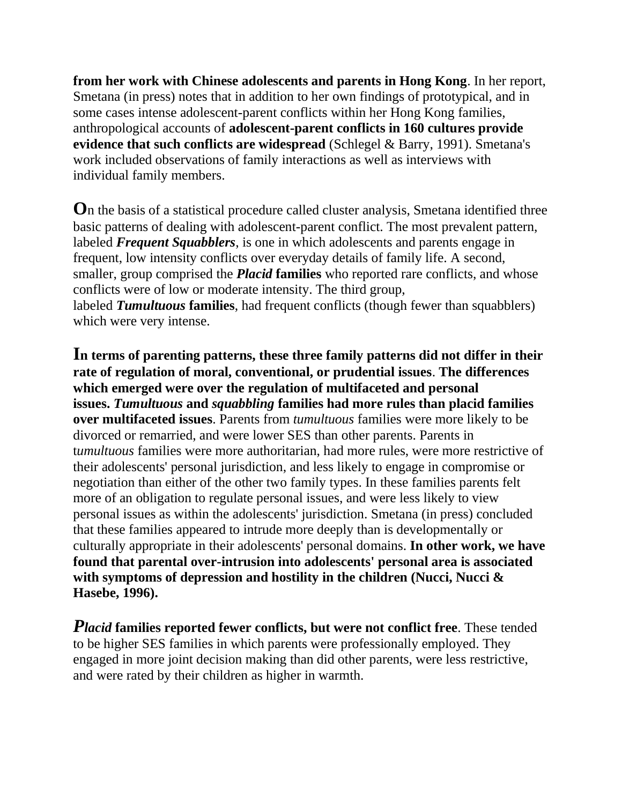**from her work with Chinese adolescents and parents in Hong Kong**. In her report, Smetana (in press) notes that in addition to her own findings of prototypical, and in some cases intense adolescent-parent conflicts within her Hong Kong families, anthropological accounts of **adolescent-parent conflicts in 160 cultures provide evidence that such conflicts are widespread** (Schlegel & Barry, 1991). Smetana's work included observations of family interactions as well as interviews with individual family members.

**O**n the basis of a statistical procedure called cluster analysis, Smetana identified three basic patterns of dealing with adolescent-parent conflict. The most prevalent pattern, labeled *Frequent Squabblers*, is one in which adolescents and parents engage in frequent, low intensity conflicts over everyday details of family life. A second, smaller, group comprised the *Placid* **families** who reported rare conflicts, and whose conflicts were of low or moderate intensity. The third group, labeled *Tumultuous* **families**, had frequent conflicts (though fewer than squabblers) which were very intense.

**In terms of parenting patterns, these three family patterns did not differ in their rate of regulation of moral, conventional, or prudential issues**. **The differences which emerged were over the regulation of multifaceted and personal issues.** *Tumultuous* **and** *squabbling* **families had more rules than placid families over multifaceted issues**. Parents from *tumultuous* families were more likely to be divorced or remarried, and were lower SES than other parents. Parents in t*umultuous* families were more authoritarian, had more rules, were more restrictive of their adolescents' personal jurisdiction, and less likely to engage in compromise or negotiation than either of the other two family types. In these families parents felt more of an obligation to regulate personal issues, and were less likely to view personal issues as within the adolescents' jurisdiction. Smetana (in press) concluded that these families appeared to intrude more deeply than is developmentally or culturally appropriate in their adolescents' personal domains. **In other work, we have found that parental over-intrusion into adolescents' personal area is associated with symptoms of depression and hostility in the children (Nucci, Nucci & Hasebe, 1996).**

*Placid* **families reported fewer conflicts, but were not conflict free**. These tended to be higher SES families in which parents were professionally employed. They engaged in more joint decision making than did other parents, were less restrictive, and were rated by their children as higher in warmth.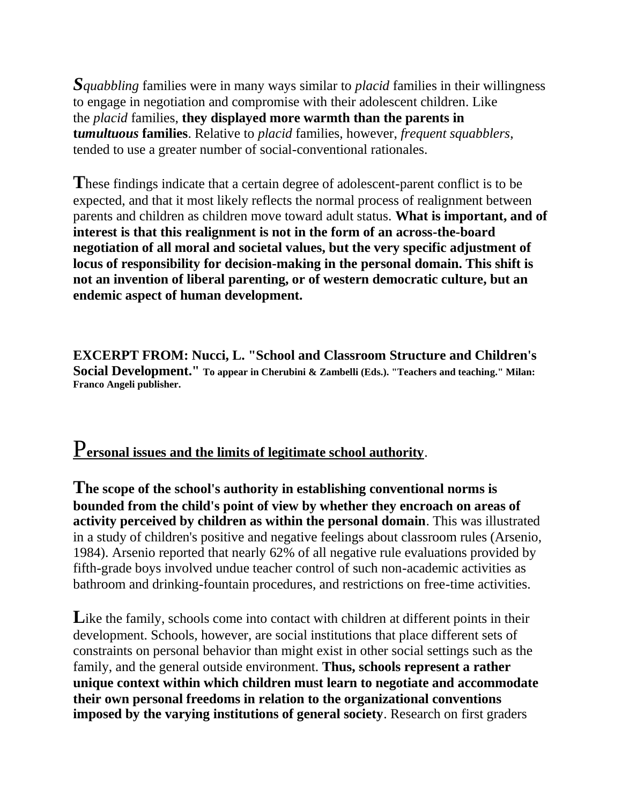*Squabbling* families were in many ways similar to *placid* families in their willingness to engage in negotiation and compromise with their adolescent children. Like the *placid* families, **they displayed more warmth than the parents in t***umultuous* **families**. Relative to *placid* families, however, *frequent squabblers*, tended to use a greater number of social-conventional rationales.

**T**hese findings indicate that a certain degree of adolescent-parent conflict is to be expected, and that it most likely reflects the normal process of realignment between parents and children as children move toward adult status. **What is important, and of interest is that this realignment is not in the form of an across-the-board negotiation of all moral and societal values, but the very specific adjustment of locus of responsibility for decision-making in the personal domain. This shift is not an invention of liberal parenting, or of western democratic culture, but an endemic aspect of human development.**

**EXCERPT FROM: Nucci, L. "School and Classroom Structure and Children's Social Development." To appear in Cherubini & Zambelli (Eds.). "Teachers and teaching." Milan: Franco Angeli publisher.**

# P**ersonal issues and the limits of legitimate school authority**.

**The scope of the school's authority in establishing conventional norms is bounded from the child's point of view by whether they encroach on areas of activity perceived by children as within the personal domain**. This was illustrated in a study of children's positive and negative feelings about classroom rules (Arsenio, 1984). Arsenio reported that nearly 62% of all negative rule evaluations provided by fifth-grade boys involved undue teacher control of such non-academic activities as bathroom and drinking-fountain procedures, and restrictions on free-time activities.

Like the family, schools come into contact with children at different points in their development. Schools, however, are social institutions that place different sets of constraints on personal behavior than might exist in other social settings such as the family, and the general outside environment. **Thus, schools represent a rather unique context within which children must learn to negotiate and accommodate their own personal freedoms in relation to the organizational conventions imposed by the varying institutions of general society**. Research on first graders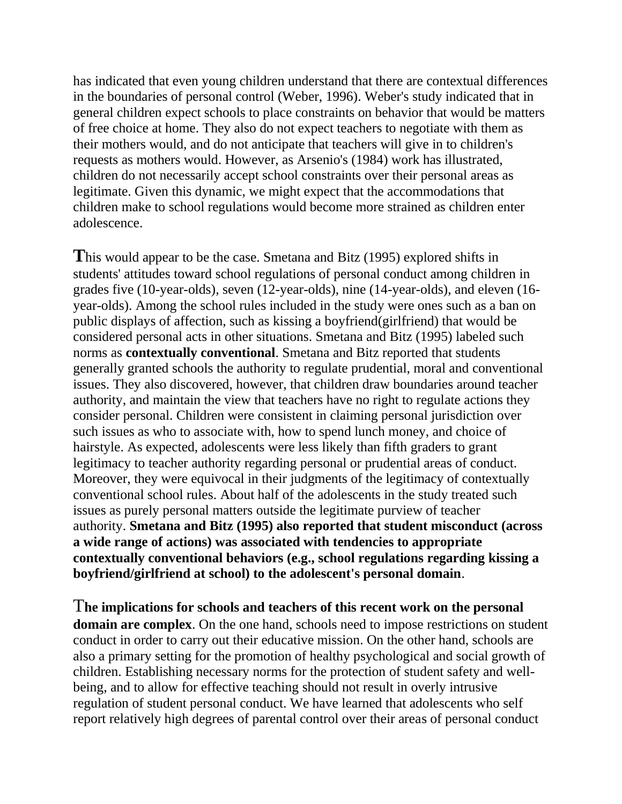has indicated that even young children understand that there are contextual differences in the boundaries of personal control (Weber, 1996). Weber's study indicated that in general children expect schools to place constraints on behavior that would be matters of free choice at home. They also do not expect teachers to negotiate with them as their mothers would, and do not anticipate that teachers will give in to children's requests as mothers would. However, as Arsenio's (1984) work has illustrated, children do not necessarily accept school constraints over their personal areas as legitimate. Given this dynamic, we might expect that the accommodations that children make to school regulations would become more strained as children enter adolescence.

**T**his would appear to be the case. Smetana and Bitz (1995) explored shifts in students' attitudes toward school regulations of personal conduct among children in grades five (10-year-olds), seven (12-year-olds), nine (14-year-olds), and eleven (16 year-olds). Among the school rules included in the study were ones such as a ban on public displays of affection, such as kissing a boyfriend(girlfriend) that would be considered personal acts in other situations. Smetana and Bitz (1995) labeled such norms as **contextually conventional**. Smetana and Bitz reported that students generally granted schools the authority to regulate prudential, moral and conventional issues. They also discovered, however, that children draw boundaries around teacher authority, and maintain the view that teachers have no right to regulate actions they consider personal. Children were consistent in claiming personal jurisdiction over such issues as who to associate with, how to spend lunch money, and choice of hairstyle. As expected, adolescents were less likely than fifth graders to grant legitimacy to teacher authority regarding personal or prudential areas of conduct. Moreover, they were equivocal in their judgments of the legitimacy of contextually conventional school rules. About half of the adolescents in the study treated such issues as purely personal matters outside the legitimate purview of teacher authority. **Smetana and Bitz (1995) also reported that student misconduct (across a wide range of actions) was associated with tendencies to appropriate contextually conventional behaviors (e.g., school regulations regarding kissing a boyfriend/girlfriend at school) to the adolescent's personal domain**.

T**he implications for schools and teachers of this recent work on the personal domain are complex**. On the one hand, schools need to impose restrictions on student conduct in order to carry out their educative mission. On the other hand, schools are also a primary setting for the promotion of healthy psychological and social growth of children. Establishing necessary norms for the protection of student safety and wellbeing, and to allow for effective teaching should not result in overly intrusive regulation of student personal conduct. We have learned that adolescents who self report relatively high degrees of parental control over their areas of personal conduct